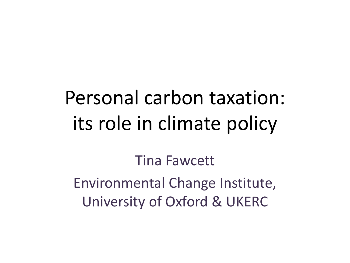## Personal carbon taxation: its role in climate policy

Tina Fawcett Environmental Change Institute, University of Oxford & UKERC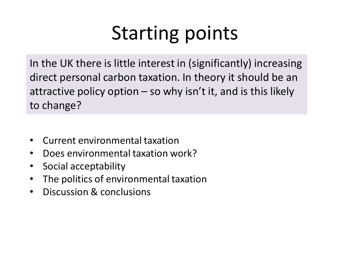# Starting points

In the UK there is little interest in (significantly) increasing direct personal carbon taxation. In theory it should be an attractive policy option  $-$  so why isn't it, and is this likely to change?

- Current environmental taxation
- Does environmental taxation work?
- Social acceptability
- The politics of environmental taxation
- Discussion & conclusions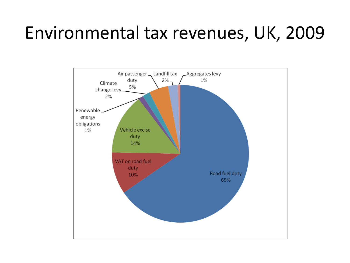### Environmental tax revenues, UK, 2009

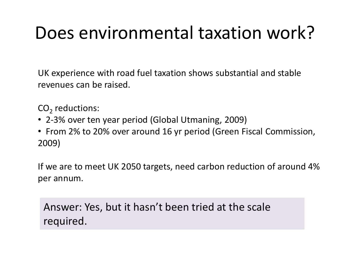## Does environmental taxation work?

UK experience with road fuel taxation shows substantial and stable revenues can be raised.

 $\mathsf{CO}_2$  reductions:

- 2-3% over ten year period (Global Utmaning, 2009)
- From 2% to 20% over around 16 yr period (Green Fiscal Commission, 2009)

If we are to meet UK 2050 targets, need carbon reduction of around 4% per annum.

Answer: Yes, but it hasn't been tried at the scale required.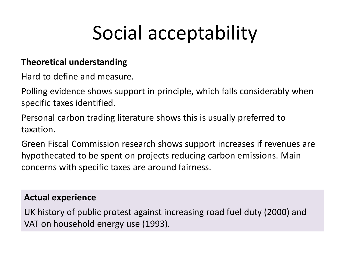## Social acceptability

#### **Theoretical understanding**

Hard to define and measure.

Polling evidence shows support in principle, which falls considerably when specific taxes identified.

Personal carbon trading literature shows this is usually preferred to taxation.

Green Fiscal Commission research shows support increases if revenues are hypothecated to be spent on projects reducing carbon emissions. Main concerns with specific taxes are around fairness.

#### **Actual experience**

UK history of public protest against increasing road fuel duty (2000) and VAT on household energy use (1993).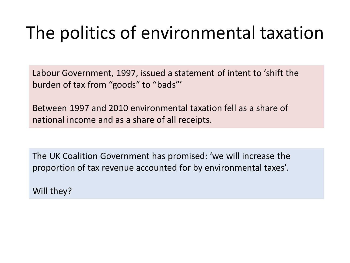## The politics of environmental taxation

Labour Government, 1997, issued a statement of intent to 'shift the burden of tax from "goods" to "bads"'

Between 1997 and 2010 environmental taxation fell as a share of national income and as a share of all receipts.

The UK Coalition Government has promised: 'we will increase the proportion of tax revenue accounted for by environmental taxes'.

Will they?